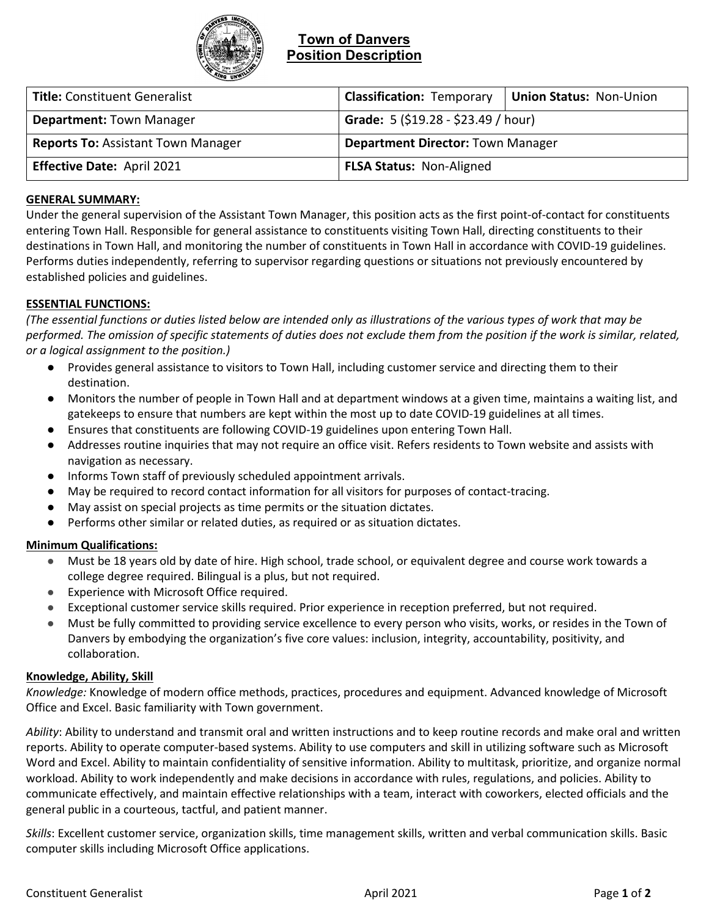

## **Town of Danvers Position Description**

| <b>Title: Constituent Generalist</b>      | <b>Classification: Temporary</b>         | Union Status: Non-Union |
|-------------------------------------------|------------------------------------------|-------------------------|
| <b>Department: Town Manager</b>           | Grade: 5 (\$19.28 - \$23.49 / hour)      |                         |
| <b>Reports To: Assistant Town Manager</b> | <b>Department Director: Town Manager</b> |                         |
| Effective Date: April 2021                | <b>FLSA Status: Non-Aligned</b>          |                         |

# **GENERAL SUMMARY:**

Under the general supervision of the Assistant Town Manager, this position acts as the first point-of-contact for constituents entering Town Hall. Responsible for general assistance to constituents visiting Town Hall, directing constituents to their destinations in Town Hall, and monitoring the number of constituents in Town Hall in accordance with COVID-19 guidelines. Performs duties independently, referring to supervisor regarding questions or situations not previously encountered by established policies and guidelines.

## **ESSENTIAL FUNCTIONS:**

*(The essential functions or duties listed below are intended only as illustrations of the various types of work that may be performed. The omission of specific statements of duties does not exclude them from the position if the work is similar, related, or a logical assignment to the position.)*

- Provides general assistance to visitors to Town Hall, including customer service and directing them to their destination.
- Monitors the number of people in Town Hall and at department windows at a given time, maintains a waiting list, and gatekeeps to ensure that numbers are kept within the most up to date COVID-19 guidelines at all times.
- Ensures that constituents are following COVID-19 guidelines upon entering Town Hall.
- Addresses routine inquiries that may not require an office visit. Refers residents to Town website and assists with navigation as necessary.
- Informs Town staff of previously scheduled appointment arrivals.
- May be required to record contact information for all visitors for purposes of contact-tracing.
- May assist on special projects as time permits or the situation dictates.
- Performs other similar or related duties, as required or as situation dictates.

## **Minimum Qualifications:**

- Must be 18 years old by date of hire. High school, trade school, or equivalent degree and course work towards a college degree required. Bilingual is a plus, but not required.
- Experience with Microsoft Office required.
- Exceptional customer service skills required. Prior experience in reception preferred, but not required.
- Must be fully committed to providing service excellence to every person who visits, works, or resides in the Town of Danvers by embodying the organization's five core values: inclusion, integrity, accountability, positivity, and collaboration.

## **Knowledge, Ability, Skill**

*Knowledge:* Knowledge of modern office methods, practices, procedures and equipment. Advanced knowledge of Microsoft Office and Excel. Basic familiarity with Town government.

*Ability*: Ability to understand and transmit oral and written instructions and to keep routine records and make oral and written reports. Ability to operate computer-based systems. Ability to use computers and skill in utilizing software such as Microsoft Word and Excel. Ability to maintain confidentiality of sensitive information. Ability to multitask, prioritize, and organize normal workload. Ability to work independently and make decisions in accordance with rules, regulations, and policies. Ability to communicate effectively, and maintain effective relationships with a team, interact with coworkers, elected officials and the general public in a courteous, tactful, and patient manner.

*Skills*: Excellent customer service, organization skills, time management skills, written and verbal communication skills. Basic computer skills including Microsoft Office applications.